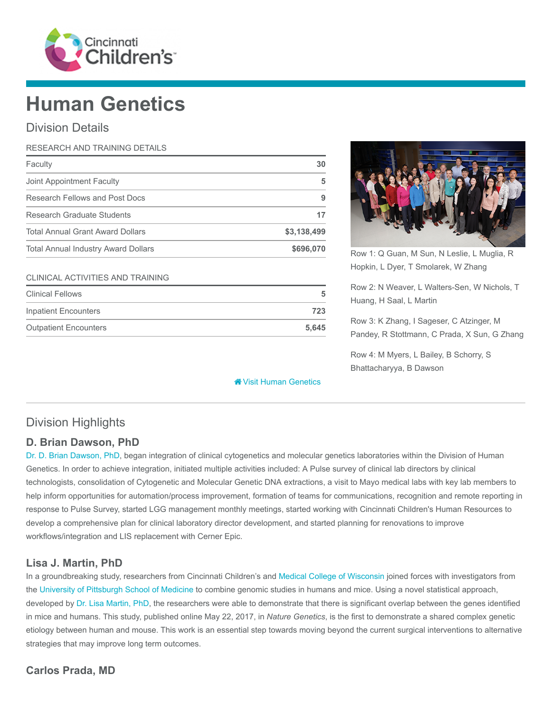

# Human Genetics

## Division Details

| RESEARCH AND TRAINING DETAILS              |             |  |
|--------------------------------------------|-------------|--|
| Faculty                                    | 30          |  |
| Joint Appointment Faculty                  | 5           |  |
| Research Fellows and Post Docs             | 9           |  |
| Research Graduate Students                 | 17          |  |
| <b>Total Annual Grant Award Dollars</b>    | \$3,138,499 |  |
| <b>Total Annual Industry Award Dollars</b> | \$696,070   |  |

#### CLINICAL ACTIVITIES AND TRAINING

| <b>Clinical Fellows</b>      | 5     |
|------------------------------|-------|
| Inpatient Encounters         | 723   |
| <b>Outpatient Encounters</b> | 5.645 |

#### **<sup>8</sup>** [Visit Human Genetics](https://www.cincinnatichildrens.org/research/divisions/h/genetics)



Row 1: Q Guan, M Sun, N Leslie, L Muglia, R Hopkin, L Dyer, T Smolarek, W Zhang

Row 2: N Weaver, L Walters-Sen, W Nichols, T Huang, H Saal, L Martin

Row 3: K Zhang, I Sageser, C Atzinger, M Pandey, R Stottmann, C Prada, X Sun, G Zhang

Row 4: M Myers, L Bailey, B Schorry, S Bhattacharyya, B Dawson

# Division Highlights

#### D. Brian Dawson, PhD

[Dr. D. Brian Dawson, PhD](https://www.cincinnatichildrens.org/bio/d/brian-dawson), began integration of clinical cytogenetics and molecular genetics laboratories within the Division of Human Genetics. In order to achieve integration, initiated multiple activities included: A Pulse survey of clinical lab directors by clinical technologists, consolidation of Cytogenetic and Molecular Genetic DNA extractions, a visit to Mayo medical labs with key lab members to help inform opportunities for automation/process improvement, formation of teams for communications, recognition and remote reporting in response to Pulse Survey, started LGG management monthly meetings, started working with Cincinnati Children's Human Resources to develop a comprehensive plan for clinical laboratory director development, and started planning for renovations to improve workflows/integration and LIS replacement with Cerner Epic.

## Lisa J. Martin, PhD

In a groundbreaking study, researchers from Cincinnati Children's and [Medical College of Wisconsin](https://www.mcw.edu/MCW) joined forces with investigators from the [University of Pittsburgh School of Medicine](http://www.medschool.pitt.edu/) to combine genomic studies in humans and mice. Using a novel statistical approach, developed by [Dr. Lisa Martin, PhD,](https://www.cincinnatichildrens.org/bio/m/lisa-martin) the researchers were able to demonstrate that there is significant overlap between the genes identified in mice and humans. This study, published online May 22, 2017, in Nature Genetics, is the first to demonstrate a shared complex genetic etiology between human and mouse. This work is an essential step towards moving beyond the current surgical interventions to alternative strategies that may improve long term outcomes.

## Carlos Prada, MD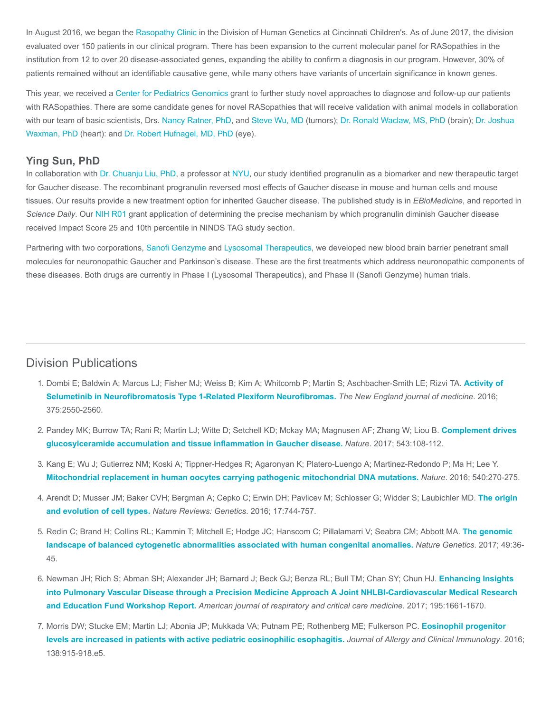In August 2016, we began the [Rasopathy Clinic](https://www.cincinnatichildrens.org/service/r/rasopathy) in the Division of Human Genetics at Cincinnati Children's. As of June 2017, the division evaluated over 150 patients in our clinical program. There has been expansion to the current molecular panel for RASopathies in the institution from 12 to over 20 disease-associated genes, expanding the ability to confirm a diagnosis in our program. However, 30% of patients remained without an identifiable causative gene, while many others have variants of uncertain significance in known genes.

This year, we received a [Center for Pediatrics Genomics](https://www.cincinnatichildrens.org/research/divisions/c/genomics) grant to further study novel approaches to diagnose and follow-up our patients with RASopathies. There are some candidate genes for novel RASopathies that will receive validation with animal models in collaboration [with our team of basic scientists, Drs. N](https://www.cincinnatichildrens.org/bio/w/joshua-waxman)[ancy Ratner, PhD](https://www.cincinnatichildrens.org/bio/r/nancy-ratner)[, and S](https://www.cincinnatichildrens.org/bio/w/joshua-waxman)[teve Wu, M](https://www.cincinnatichildrens.org/bio/w/steve-wu)[D \(tumors\);](https://www.cincinnatichildrens.org/bio/w/joshua-waxman) [Dr. Ronald Waclaw, MS, Ph](https://www.cincinnatichildrens.org/bio/w/ronald-waclaw)[D \(brain\); Dr. Joshua](https://www.cincinnatichildrens.org/bio/w/joshua-waxman) Waxman, PhD (heart): and [Dr. Robert Hufnagel, MD, PhD](https://www.cincinnatichildrens.org/notfound/search?item=master%3a%7b53AD46EA-8EB8-470C-8978-B1E8292A7A2F%7d%40en) (eye).

#### Ying Sun, PhD

In collaboration with [Dr. Chuanju Liu, PhD,](https://med.nyu.edu/faculty/chuanju-liu) a professor at [NYU](https://med.nyu.edu/), our study identified progranulin as a biomarker and new therapeutic target for Gaucher disease. The recombinant progranulin reversed most effects of Gaucher disease in mouse and human cells and mouse tissues. Our results provide a new treatment option for inherited Gaucher disease. The published study is in EBioMedicine, and reported in Science Daily. Our [NIH R01](https://grants.nih.gov/grants/funding/r01.htm) grant application of determining the precise mechanism by which progranulin diminish Gaucher disease received Impact Score 25 and 10th percentile in NINDS TAG study section.

Partnering with two corporations, [Sanofi Genzyme](https://www.sanofigenzyme.com/) and [Lysosomal Therapeutics](https://www.lysosomaltx.com/), we developed new blood brain barrier penetrant small molecules for neuronopathic Gaucher and Parkinson's disease. These are the first treatments which address neuronopathic components of these diseases. Both drugs are currently in Phase I (Lysosomal Therapeutics), and Phase II (Sanofi Genzyme) human trials.

## Division Publications

- 1. [Dombi E; Baldwin A; Marcus LJ; Fisher MJ; Weiss B; Kim A; Whitcomb P; Martin S; Aschbacher-Smith LE; Rizvi TA.](https://www.ncbi.nlm.nih.gov/pubmed/28029918) Activity of Selumetinib in Neurofibromatosis Type 1-Related Plexiform Neurofibromas. The New England journal of medicine. 2016; 375:2550-2560.
- 2. [Pandey MK; Burrow TA; Rani R; Martin LJ; Witte D; Setchell KD; Mckay MA; Magnusen AF; Zhang W; Liou B.](https://www.ncbi.nlm.nih.gov/pubmed/28225753) Complement drives glucosylceramide accumulation and tissue inflammation in Gaucher disease. Nature. 2017; 543:108-112.
- 3. Kang E; Wu J; Gutierrez NM; Koski A; Tippner-Hedges R; Agaronyan K; Platero-Luengo A; Martinez-Redondo P; Ma H; Lee Y. [Mitochondrial replacement in human oocytes carrying pathogenic mitochondrial DNA mutations.](https://www.ncbi.nlm.nih.gov/pubmed/27919073) Nature. 2016; 540:270-275.
- 4. [Arendt D; Musser JM; Baker CVH; Bergman A; Cepko C; Erwin DH; Pavlicev M; Schlosser G; Widder S; Laubichler MD.](https://www.ncbi.nlm.nih.gov/pubmed/27818507) The origin and evolution of cell types. Nature Reviews: Genetics. 2016; 17:744-757.
- 5. [Redin C; Brand H; Collins RL; Kammin T; Mitchell E; Hodge JC; Hanscom C; Pillalamarri V; Seabra CM; Abbott MA.](https://www.ncbi.nlm.nih.gov/pubmed/27841880) The genomic landscape of balanced cytogenetic abnormalities associated with human congenital anomalies. Nature Genetics. 2017; 49:36- 45.
- 6. Newman JH; Rich S; Abman SH; Alexander JH; Barnard J; Beck GJ; Benza RL; Bull TM; Chan SY; Chun HJ. Enhancing Insights [into Pulmonary Vascular Disease through a Precision Medicine Approach A Joint NHLBI-Cardiovascular Medical Research](https://www.ncbi.nlm.nih.gov/pubmed/28430547) and Education Fund Workshop Report. American journal of respiratory and critical care medicine. 2017; 195:1661-1670.
- 7. [Morris DW; Stucke EM; Martin LJ; Abonia JP; Mukkada VA; Putnam PE; Rothenberg ME; Fulkerson PC.](https://www.ncbi.nlm.nih.gov/pubmed/27199214) Eosinophil progenitor levels are increased in patients with active pediatric eosinophilic esophagitis. Journal of Allergy and Clinical Immunology. 2016; 138:915-918.e5.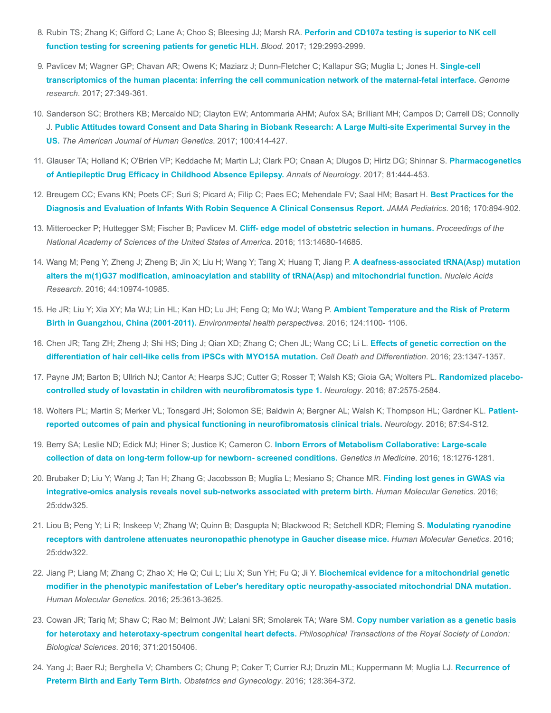- 8. [Rubin TS; Zhang K; Gifford C; Lane A; Choo S; Bleesing JJ; Marsh RA.](https://www.ncbi.nlm.nih.gov/pubmed/28270454) Perforin and CD107a testing is superior to NK cell function testing for screening patients for genetic HLH. Blood. 2017; 129:2993-2999.
- 9. [Pavlicev M; Wagner GP; Chavan AR; Owens K; Maziarz J; Dunn-Fletcher C; Kallapur SG; Muglia L; Jones H.](https://www.ncbi.nlm.nih.gov/pubmed/28174237) Single-cell transcriptomics of the human placenta: inferring the cell communication network of the maternal-fetal interface. Genome research. 2017; 27:349-361.
- 10. Sanderson SC; Brothers KB; Mercaldo ND; Clayton EW; Antommaria AHM; Aufox SA; Brilliant MH; Campos D; Carrell DS; Connolly J. [Public Attitudes toward Consent and Data Sharing in Biobank Research: A Large Multi-site Experimental Survey in the](https://www.ncbi.nlm.nih.gov/pubmed/28190457) US. The American Journal of Human Genetics. 2017; 100:414-427.
- 11. [Glauser TA; Holland K; O'Brien VP; Keddache M; Martin LJ; Clark PO; Cnaan A; Dlugos D; Hirtz DG; Shinnar S.](https://www.ncbi.nlm.nih.gov/pubmed/28165634) Pharmacogenetics of Antiepileptic Drug Efficacy in Childhood Absence Epilepsy. Annals of Neurology. 2017; 81:444-453.
- 12. [Breugem CC; Evans KN; Poets CF; Suri S; Picard A; Filip C; Paes EC; Mehendale FV; Saal HM; Basart H.](https://www.ncbi.nlm.nih.gov/pubmed/27429161) Best Practices for the Diagnosis and Evaluation of Infants With Robin Sequence A Clinical Consensus Report. JAMA Pediatrics. 2016; 170:894-902.
- 13. Mitteroecker P; Huttegger SM; Fischer B; Pavlicev M. [Cliff- edge model of obstetric selection in humans.](https://www.ncbi.nlm.nih.gov/pubmed/27930310) Proceedings of the National Academy of Sciences of the United States of America. 2016; 113:14680-14685.
- 14. Wang M; Peng Y; Zheng J; Zheng B; Jin X; Liu H; Wang Y; Tang X; Huang T; Jiang P. A deafness-associated tRNA(Asp) mutation [alters the m\(1\)G37 modification, aminoacylation and stability of tRNA\(Asp\) and mitochondrial function.](https://www.ncbi.nlm.nih.gov/pubmed/27536005) Nucleic Acids Research. 2016; 44:10974-10985.
- 15. [He JR; Liu Y; Xia XY; Ma WJ; Lin HL; Kan HD; Lu JH; Feng Q; Mo WJ; Wang P.](https://www.ncbi.nlm.nih.gov/pubmed/26672059) Ambient Temperature and the Risk of Preterm Birth in Guangzhou, China (2001-2011). Environmental health perspectives. 2016; 124:1100- 1106.
- 16. [Chen JR; Tang ZH; Zheng J; Shi HS; Ding J; Qian XD; Zhang C; Chen JL; Wang CC; Li L.](https://www.ncbi.nlm.nih.gov/pubmed/26915297) Effects of genetic correction on the differentiation of hair cell-like cells from iPSCs with MYO15A mutation. Cell Death and Differentiation. 2016; 23:1347-1357.
- 17. [Payne JM; Barton B; Ullrich NJ; Cantor A; Hearps SJC; Cutter G; Rosser T; Walsh KS; Gioia GA; Wolters PL.](https://www.ncbi.nlm.nih.gov/pubmed/27956565) Randomized placebocontrolled study of lovastatin in children with neurofibromatosis type 1. Neurology. 2016; 87:2575-2584.
- 18. [Wolters PL; Martin S; Merker VL; Tonsgard JH; Solomon SE; Baldwin A; Bergner AL; Walsh K; Thompson HL; Gardner KL.](https://www.ncbi.nlm.nih.gov/pubmed/27527648) Patientreported outcomes of pain and physical functioning in neurofibromatosis clinical trials. Neurology. 2016; 87:S4-S12.
- 19. Berry SA; Leslie ND; Edick MJ; Hiner S; Justice K; Cameron C. Inborn Errors of Metabolism Collaborative: Large-scale [collection of data on long-term follow-up for newborn- screened conditions.](https://www.ncbi.nlm.nih.gov/pubmed/27195819) Genetics in Medicine. 2016; 18:1276-1281.
- 20. [Brubaker D; Liu Y; Wang J; Tan H; Zhang G; Jacobsson B; Muglia L; Mesiano S; Chance MR.](https://www.ncbi.nlm.nih.gov/pubmed/27664809) Finding lost genes in GWAS via integrative-omics analysis reveals novel sub-networks associated with preterm birth. Human Molecular Genetics. 2016; 25:ddw325.
- 21. [Liou B; Peng Y; Li R; Inskeep V; Zhang W; Quinn B; Dasgupta N; Blackwood R; Setchell KDR; Fleming S.](https://www.ncbi.nlm.nih.gov/pubmed/27655403) Modulating ryanodine receptors with dantrolene attenuates neuronopathic phenotype in Gaucher disease mice. Human Molecular Genetics. 2016; 25:ddw322.
- 22. Jiang P; Liang M; Zhang C; Zhao X; He Q; Cui L; Liu X; Sun YH; Fu Q; Ji Y. Biochemical evidence for a mitochondrial genetic [modifier in the phenotypic manifestation of Leber's hereditary optic neuropathy-associated mitochondrial DNA mutation.](https://www.ncbi.nlm.nih.gov/pubmed/27427386) Human Molecular Genetics. 2016; 25:3613-3625.
- 23. [Cowan JR; Tariq M; Shaw C; Rao M; Belmont JW; Lalani SR; Smolarek TA; Ware SM.](https://www.ncbi.nlm.nih.gov/pubmed/27821535) Copy number variation as a genetic basis for heterotaxy and heterotaxy-spectrum congenital heart defects. Philosophical Transactions of the Royal Society of London: Biological Sciences. 2016; 371:20150406.
- 24. [Yang J; Baer RJ; Berghella V; Chambers C; Chung P; Coker T; Currier RJ; Druzin ML; Kuppermann M; Muglia LJ.](https://www.ncbi.nlm.nih.gov/pubmed/27400000) Recurrence of Preterm Birth and Early Term Birth. Obstetrics and Gynecology. 2016; 128:364-372.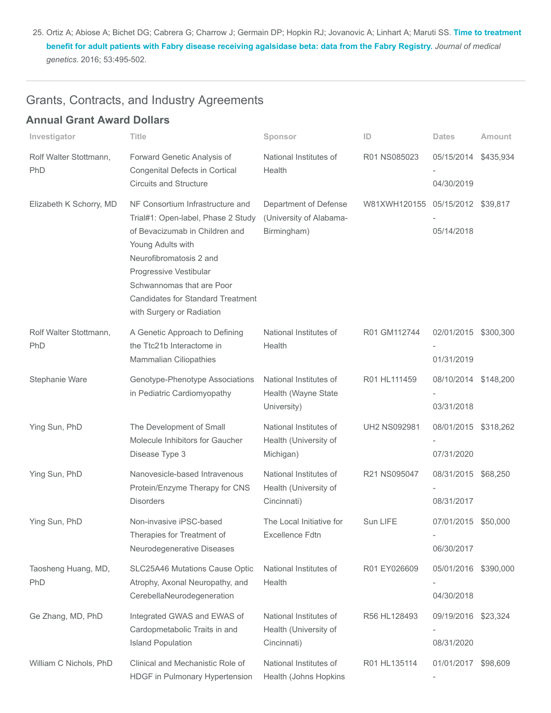25. [Ortiz A; Abiose A; Bichet DG; Cabrera G; Charrow J; Germain DP; Hopkin RJ; Jovanovic A; Linhart A; Maruti SS.](https://www.ncbi.nlm.nih.gov/pubmed/26993266) Time to treatment benefit for adult patients with Fabry disease receiving agalsidase beta: data from the Fabry Registry. Journal of medical genetics. 2016; 53:495-502.

# Grants, Contracts, and Industry Agreements

## Annual Grant Award Dollars

| Investigator                         | Title                                                                                                                                                                                                                                                                                    | Sponsor                                                         | ID                               | <b>Dates</b>                       | Amount    |
|--------------------------------------|------------------------------------------------------------------------------------------------------------------------------------------------------------------------------------------------------------------------------------------------------------------------------------------|-----------------------------------------------------------------|----------------------------------|------------------------------------|-----------|
| Rolf Walter Stottmann,<br><b>PhD</b> | Forward Genetic Analysis of<br>Congenital Defects in Cortical<br><b>Circuits and Structure</b>                                                                                                                                                                                           | National Institutes of<br>Health                                | R01 NS085023                     | 05/15/2014 \$435,934<br>04/30/2019 |           |
| Elizabeth K Schorry, MD              | NF Consortium Infrastructure and<br>Trial#1: Open-label, Phase 2 Study<br>of Bevacizumab in Children and<br>Young Adults with<br>Neurofibromatosis 2 and<br>Progressive Vestibular<br>Schwannomas that are Poor<br><b>Candidates for Standard Treatment</b><br>with Surgery or Radiation | Department of Defense<br>(University of Alabama-<br>Birmingham) | W81XWH120155 05/15/2012 \$39,817 | 05/14/2018                         |           |
| Rolf Walter Stottmann,<br><b>PhD</b> | A Genetic Approach to Defining<br>the Ttc21b Interactome in<br><b>Mammalian Ciliopathies</b>                                                                                                                                                                                             | National Institutes of<br>Health                                | R01 GM112744                     | 02/01/2015 \$300,300<br>01/31/2019 |           |
| Stephanie Ware                       | Genotype-Phenotype Associations<br>in Pediatric Cardiomyopathy                                                                                                                                                                                                                           | National Institutes of<br>Health (Wayne State<br>University)    | R01 HL111459                     | 08/10/2014 \$148,200<br>03/31/2018 |           |
| Ying Sun, PhD                        | The Development of Small<br>Molecule Inhibitors for Gaucher<br>Disease Type 3                                                                                                                                                                                                            | National Institutes of<br>Health (University of<br>Michigan)    | <b>UH2 NS092981</b>              | 08/01/2015 \$318,262<br>07/31/2020 |           |
| Ying Sun, PhD                        | Nanovesicle-based Intravenous<br>Protein/Enzyme Therapy for CNS<br><b>Disorders</b>                                                                                                                                                                                                      | National Institutes of<br>Health (University of<br>Cincinnati)  | R21 NS095047                     | 08/31/2015 \$68,250<br>08/31/2017  |           |
| Ying Sun, PhD                        | Non-invasive iPSC-based<br>Therapies for Treatment of<br>Neurodegenerative Diseases                                                                                                                                                                                                      | The Local Initiative for<br><b>Excellence Fdtn</b>              | Sun LIFE                         | 07/01/2015 \$50,000<br>06/30/2017  |           |
| Taosheng Huang, MD,<br>PhD           | SLC25A46 Mutations Cause Optic<br>Atrophy, Axonal Neuropathy, and<br>CerebellaNeurodegeneration                                                                                                                                                                                          | National Institutes of<br>Health                                | R01 EY026609                     | 05/01/2016<br>04/30/2018           | \$390,000 |
| Ge Zhang, MD, PhD                    | Integrated GWAS and EWAS of<br>Cardopmetabolic Traits in and<br><b>Island Population</b>                                                                                                                                                                                                 | National Institutes of<br>Health (University of<br>Cincinnati)  | R56 HL128493                     | 09/19/2016 \$23,324<br>08/31/2020  |           |
| William C Nichols, PhD               | Clinical and Mechanistic Role of<br>HDGF in Pulmonary Hypertension                                                                                                                                                                                                                       | National Institutes of<br>Health (Johns Hopkins                 | R01 HL135114                     | 01/01/2017                         | \$98,609  |